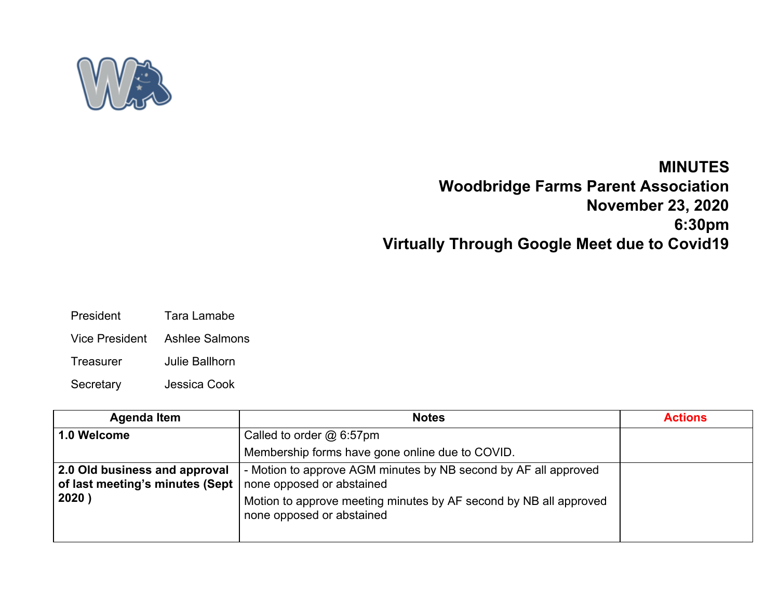

## **MINUTES Woodbridge Farms Parent Association November 23, 2020 6:30pm Virtually Through Google Meet due to Covid19**

- President Tara Lamabe
- Vice President Ashlee Salmons
- Treasurer Julie Ballhorn
- Secretary Jessica Cook

| <b>Agenda Item</b>                                                        | <b>Notes</b>                                                                                                                                                                                   | <b>Actions</b> |
|---------------------------------------------------------------------------|------------------------------------------------------------------------------------------------------------------------------------------------------------------------------------------------|----------------|
| 1.0 Welcome                                                               | Called to order $@6:57 \text{pm}$                                                                                                                                                              |                |
|                                                                           | Membership forms have gone online due to COVID.                                                                                                                                                |                |
| 2.0 Old business and approval<br>of last meeting's minutes (Sept<br>2020) | - Motion to approve AGM minutes by NB second by AF all approved<br>none opposed or abstained<br>Motion to approve meeting minutes by AF second by NB all approved<br>none opposed or abstained |                |